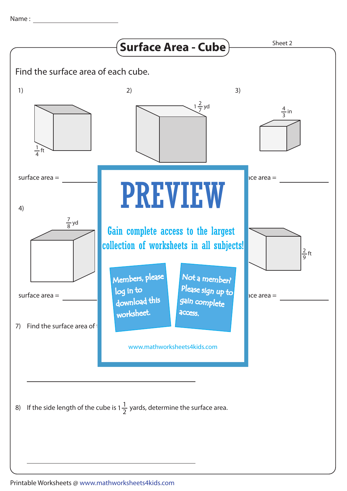